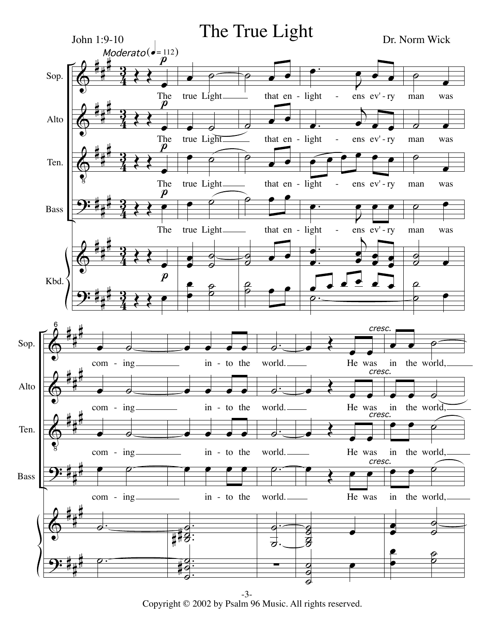

Copyright © 2002 by Psalm 96 Music. All rights reserved.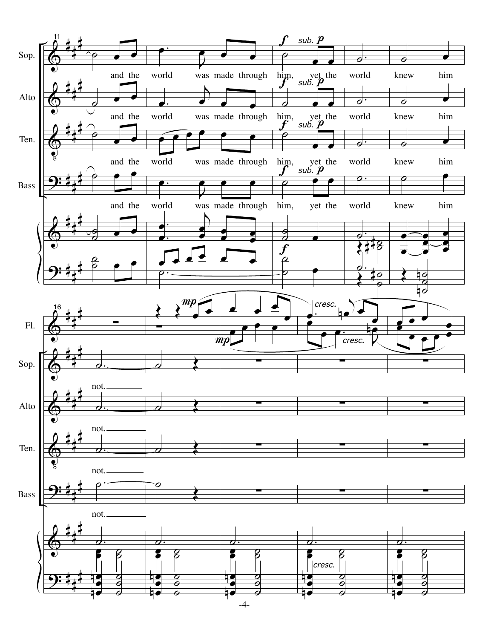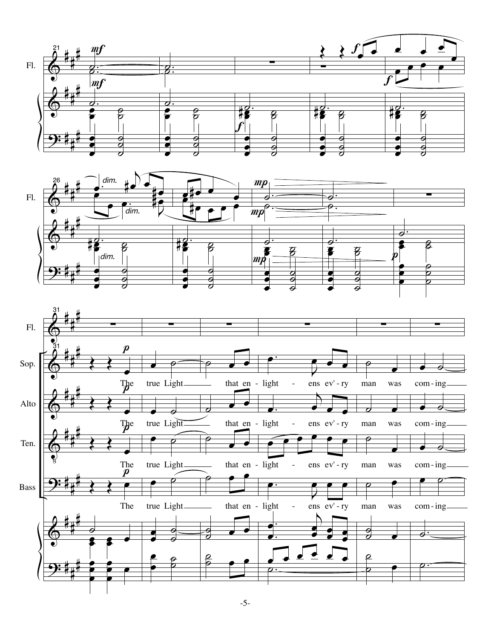



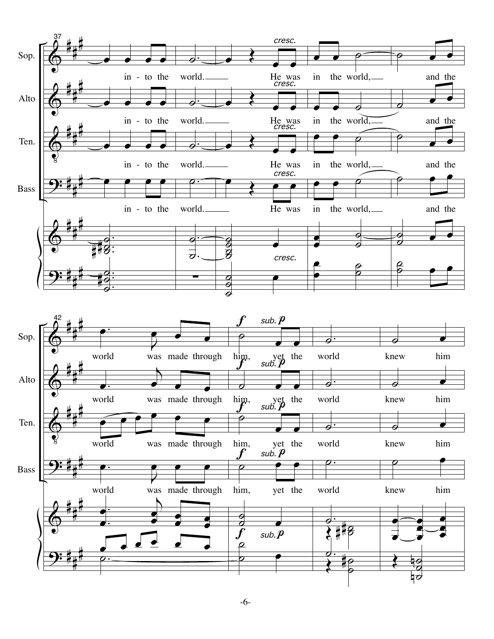